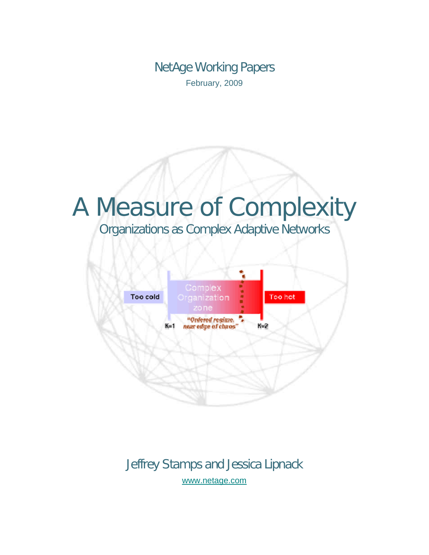NetAge Working Papers February, 2009

# A Measure of Complexity

Organizations as Complex Adaptive Networks



Jeffrey Stamps and Jessica Lipnack [www.netage.com](http://www.netage.com/)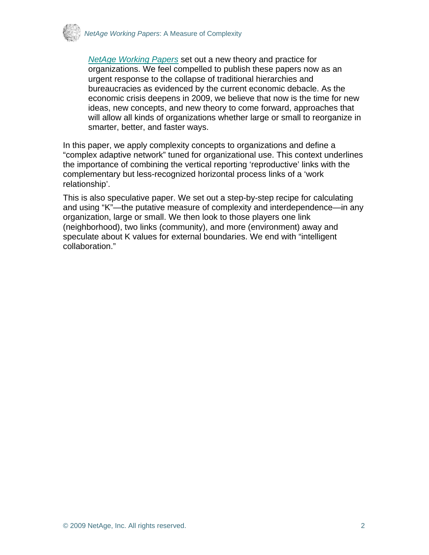

*[NetAge Working Papers](http://www.netage.com/pub/whpapers/index-white.html)* set out a new theory and practice for organizations. We feel compelled to publish these papers now as an urgent response to the collapse of traditional hierarchies and bureaucracies as evidenced by the current economic debacle. As the economic crisis deepens in 2009, we believe that now is the time for new ideas, new concepts, and new theory to come forward, approaches that will allow all kinds of organizations whether large or small to reorganize in smarter, better, and faster ways.

In this paper, we apply complexity concepts to organizations and define a "complex adaptive network" tuned for organizational use. This context underlines the importance of combining the vertical reporting 'reproductive' links with the complementary but less-recognized horizontal process links of a 'work relationship'.

This is also speculative paper. We set out a step-by-step recipe for calculating and using "K"—the putative measure of complexity and interdependence—in any organization, large or small. We then look to those players one link (neighborhood), two links (community), and more (environment) away and speculate about K values for external boundaries. We end with "intelligent collaboration."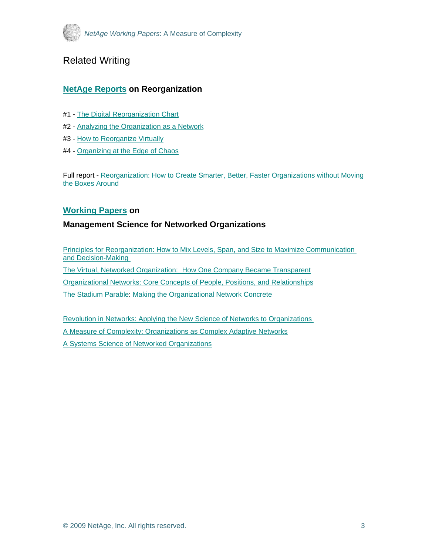

# Related Writing

#### **[NetAge Reports](http://www.netage.com/pub/whpapers/index-reports.html) on Reorganization**

- #1 - [The Digital Reorganization Chart](http://www.netage.com/pub/whpapers/NAReports/NARpt01_USGov-org.pdf)
- #2 - [Analyzing the Organization as a Network](http://www.netage.com/pub/whpapers/NAReports/NARpt02_USGov-anal.pdf)
- #3 - [How to Reorganize Virtually](http://www.netage.com/pub/whpapers/NAReports/NARpt03_USGov-reorg.pdf)
- #4 - [Organizing at the Edge of Chaos](http://www.netage.com/pub/whpapers/NAReports/NARpt04_org-at-edge.pdf)

Full report - [Reorganization: How to Create Smarter, Better, Faster Organizations without Moving](http://www.netage.com/pub/whpapers/NAReports/NARpt-vReorg_full.pdf)  [the Boxes Around](http://www.netage.com/pub/whpapers/NAReports/NARpt-vReorg_full.pdf)

#### **[Working Papers](http://www.netage.com/pub/whpapers/index-white.html) on**

#### **Management Science for Networked Organizations**

[Principles for Reorganization: How to Mix Levels, Span, and Size to Maximize Communication](http://www.netage.com/pub/whpapers/whpapers/WP_Principles-reorg.pdf)  [and Decision-Making](http://www.netage.com/pub/whpapers/whpapers/WP_Principles-reorg.pdf)  [The Virtual, Networked Organization: How One Company Became Transparent](http://www.netage.com/pub/articles/articles%20-%20new/Virtual%20Networked%20Org_pg-proof.pdf) [Organizational Networks: Core Concepts of People, Positions, and Relationships](http://www.netage.com/pub/whpapers/whpapers/WP_Core%20Concepts.pdf) [The Stadium Parable: Making the Organizational Network Concrete](http://www.netage.com/pub/articles/articles%20-%20new/Stadium-parable-doc_01Oct07.pdf)

[Revolution in Networks: Applying the New Science of Networks to Organizations](http://www.netage.com/pub/whpapers/whpapers/WP_Network%20Science.pdf)  [A Measure of Complexity: Organizations as Complex Adaptive Networks](http://www.netage.com/pub/whpapers/whpapers/WP_Complexity.pdf) [A Systems Science of Networked Organizations](http://www.netage.com/pub/whpapers/ISSS_2000.pdf)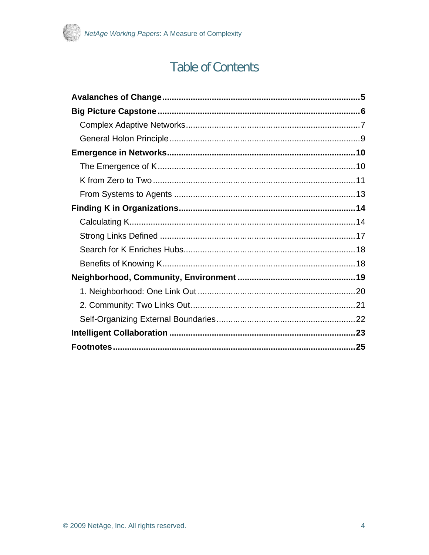

# **Table of Contents**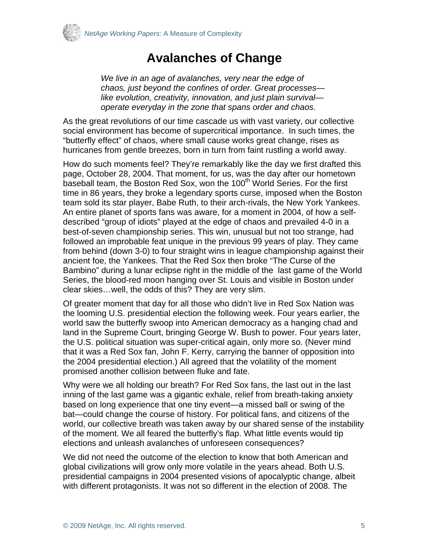<span id="page-4-0"></span>

# **Avalanches of Change**

*We live in an age of avalanches, very near the edge of chaos, just beyond the confines of order. Great processes like evolution, creativity, innovation, and just plain survival operate everyday in the zone that spans order and chaos.* 

As the great revolutions of our time cascade us with vast variety, our collective social environment has become of supercritical importance. In such times, the "butterfly effect" of chaos, where small cause works great change, rises as hurricanes from gentle breezes, born in turn from faint rustling a world away.

How do such moments feel? They're remarkably like the day we first drafted this page, October 28, 2004. That moment, for us, was the day after our hometown baseball team, the Boston Red Sox, won the 100<sup>th</sup> World Series. For the first time in 86 years, they broke a legendary sports curse, imposed when the Boston team sold its star player, Babe Ruth, to their arch-rivals, the New York Yankees. An entire planet of sports fans was aware, for a moment in 2004, of how a selfdescribed "group of idiots" played at the edge of chaos and prevailed 4-0 in a best-of-seven championship series. This win, unusual but not too strange, had followed an improbable feat unique in the previous 99 years of play. They came from behind (down 3-0) to four straight wins in league championship against their ancient foe, the Yankees. That the Red Sox then broke "The Curse of the Bambino" during a lunar eclipse right in the middle of the last game of the World Series, the blood-red moon hanging over St. Louis and visible in Boston under clear skies…well, the odds of this? They are very slim.

Of greater moment that day for all those who didn't live in Red Sox Nation was the looming U.S. presidential election the following week. Four years earlier, the world saw the butterfly swoop into American democracy as a hanging chad and land in the Supreme Court, bringing George W. Bush to power. Four years later, the U.S. political situation was super-critical again, only more so. (Never mind that it was a Red Sox fan, John F. Kerry, carrying the banner of opposition into the 2004 presidential election.) All agreed that the volatility of the moment promised another collision between fluke and fate.

Why were we all holding our breath? For Red Sox fans, the last out in the last inning of the last game was a gigantic exhale, relief from breath-taking anxiety based on long experience that one tiny event—a missed ball or swing of the bat—could change the course of history. For political fans, and citizens of the world, our collective breath was taken away by our shared sense of the instability of the moment. We all feared the butterfly's flap. What little events would tip elections and unleash avalanches of unforeseen consequences?

We did not need the outcome of the election to know that both American and global civilizations will grow only more volatile in the years ahead. Both U.S. presidential campaigns in 2004 presented visions of apocalyptic change, albeit with different protagonists. It was not so different in the election of 2008. The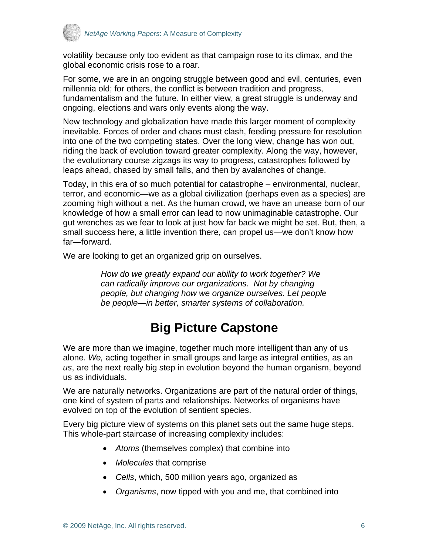<span id="page-5-0"></span>

volatility because only too evident as that campaign rose to its climax, and the global economic crisis rose to a roar.

For some, we are in an ongoing struggle between good and evil, centuries, even millennia old; for others, the conflict is between tradition and progress, fundamentalism and the future. In either view, a great struggle is underway and ongoing, elections and wars only events along the way.

New technology and globalization have made this larger moment of complexity inevitable. Forces of order and chaos must clash, feeding pressure for resolution into one of the two competing states. Over the long view, change has won out, riding the back of evolution toward greater complexity. Along the way, however, the evolutionary course zigzags its way to progress, catastrophes followed by leaps ahead, chased by small falls, and then by avalanches of change.

Today, in this era of so much potential for catastrophe – environmental, nuclear, terror, and economic—we as a global civilization (perhaps even as a species) are zooming high without a net. As the human crowd, we have an unease born of our knowledge of how a small error can lead to now unimaginable catastrophe. Our gut wrenches as we fear to look at just how far back we might be set. But, then, a small success here, a little invention there, can propel us—we don't know how far—forward.

We are looking to get an organized grip on ourselves.

*How do we greatly expand our ability to work together? We can radically improve our organizations. Not by changing people, but changing how we organize ourselves. Let people be people—in better, smarter systems of collaboration.* 

# **Big Picture Capstone**

We are more than we imagine, together much more intelligent than any of us alone. *We,* acting together in small groups and large as integral entities, as an *us*, are the next really big step in evolution beyond the human organism, beyond us as individuals.

We are naturally networks. Organizations are part of the natural order of things, one kind of system of parts and relationships. Networks of organisms have evolved on top of the evolution of sentient species.

Every big picture view of systems on this planet sets out the same huge steps. This whole-part staircase of increasing complexity includes:

- *Atoms* (themselves complex) that combine into
- *Molecules* that comprise
- *Cells*, which, 500 million years ago, organized as
- *Organisms*, now tipped with you and me, that combined into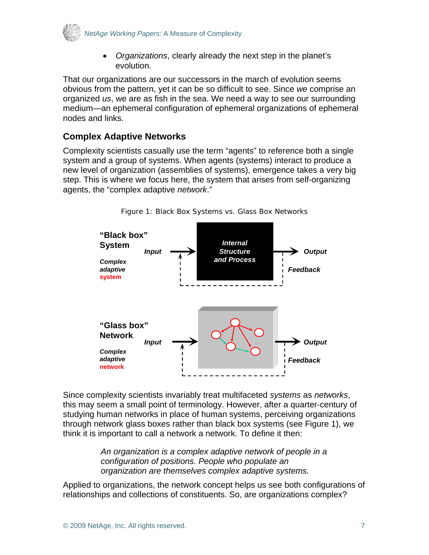<span id="page-6-0"></span>

• *Organizations*, clearly already the next step in the planet's evolution.

That our organizations are our successors in the march of evolution seems obvious from the pattern, yet it can be so difficult to see. Since *we* comprise an organized *us*, we are as fish in the sea. We need a way to see our surrounding medium—an ephemeral configuration of ephemeral organizations of ephemeral nodes and links.

#### **Complex Adaptive Networks**

Complexity scientists casually use the term "agents" to reference both a single system and a group of systems. When agents (systems) interact to produce a new level of organization (assemblies of systems), emergence takes a very big step. This is where we focus here, the system that arises from self-organizing agents, the "complex adaptive *network*."



Figure 1: Black Box Systems vs. Glass Box Networks

Since complexity scientists invariably treat multifaceted *systems* as *networks*, this may seem a small point of terminology. However, after a quarter-century of studying human networks in place of human systems, perceiving organizations through network glass boxes rather than black box systems (see Figure 1), we think it is important to call a network a network. To define it then:

> *An organization is a complex adaptive network of people in a configuration of positions. People who populate an organization are themselves complex adaptive systems.*

Applied to organizations, the network concept helps us see both configurations of relationships and collections of constituents. So, are organizations complex?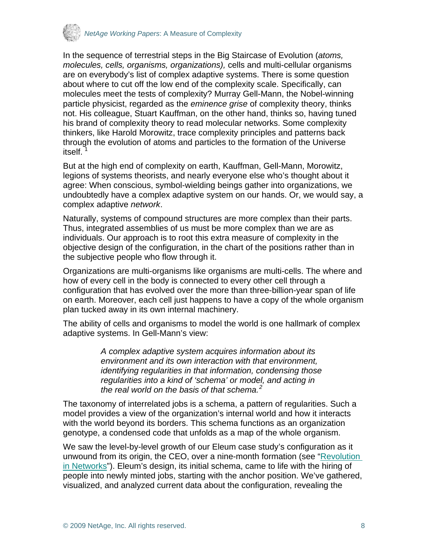

In the sequence of terrestrial steps in the Big Staircase of Evolution (*atoms, molecules, cells, organisms, organizations),* cells and multi-cellular organisms are on everybody's list of complex adaptive systems. There is some question about where to cut off the low end of the complexity scale. Specifically, can molecules meet the tests of complexity? Murray Gell-Mann, the Nobel-winning particle physicist, regarded as the *eminence grise* of complexity theory, thinks not. His colleague, Stuart Kauffman, on the other hand, thinks so, having tuned his brand of complexity theory to read molecular networks. Some complexity thinkers, like Harold Morowitz, trace complexity principles and patterns back through the evolution of atoms and particles to the formation of the Universe itself. [1](#page-24-1)

But at the high end of complexity on earth, Kauffman, Gell-Mann, Morowitz, legions of systems theorists, and nearly everyone else who's thought about it agree: When conscious, symbol-wielding beings gather into organizations, we undoubtedly have a complex adaptive system on our hands. Or, we would say, a complex adaptive *network*.

Naturally, systems of compound structures are more complex than their parts. Thus, integrated assemblies of us must be more complex than we are as individuals. Our approach is to root this extra measure of complexity in the objective design of the configuration, in the chart of the positions rather than in the subjective people who flow through it.

Organizations are multi-organisms like organisms are multi-cells. The where and how of every cell in the body is connected to every other cell through a configuration that has evolved over the more than three-billion-year span of life on earth. Moreover, each cell just happens to have a copy of the whole organism plan tucked away in its own internal machinery.

The ability of cells and organisms to model the world is one hallmark of complex adaptive systems. In Gell-Mann's view:

> *A complex adaptive system acquires information about its environment and its own interaction with that environment, identifying regularities in that information, condensing those regularities into a kind of 'schema' or model, and acting in the real world on the basis of that schema.[2](#page-24-2)*

The taxonomy of interrelated jobs is a schema, a pattern of regularities. Such a model provides a view of the organization's internal world and how it interacts with the world beyond its borders. This schema functions as an organization genotype, a condensed code that unfolds as a map of the whole organism.

We saw the level-by-level growth of our Eleum case study's configuration as it unwound from its origin, the CEO, over a nine-month formation (see "[Revolution](http://www.netage.com/pub/whpapers/whpapers/WP_Network%20Science.pdf)  [in Networks"](http://www.netage.com/pub/whpapers/whpapers/WP_Network%20Science.pdf)). Eleum's design, its initial schema, came to life with the hiring of people into newly minted jobs, starting with the anchor position. We've gathered, visualized, and analyzed current data about the configuration, revealing the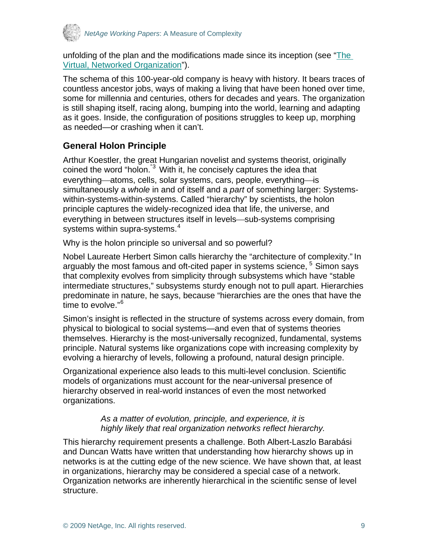<span id="page-8-0"></span>

unfolding of the plan and the modifications made since its inception (see ["The](http://www.netage.com/pub/articles/articles%20-%20new/Virtual%20Networked%20Org_pg-proof.pdfhttp:/www.netage.com/pub/articles/articles%20-%20new/Virtual%20Networked%20Org_pg-proof.pdf)  [Virtual, Networked Organization](http://www.netage.com/pub/articles/articles%20-%20new/Virtual%20Networked%20Org_pg-proof.pdfhttp:/www.netage.com/pub/articles/articles%20-%20new/Virtual%20Networked%20Org_pg-proof.pdf)").

The schema of this 100-year-old company is heavy with history. It bears traces of countless ancestor jobs, ways of making a living that have been honed over time, some for millennia and centuries, others for decades and years. The organization is still shaping itself, racing along, bumping into the world, learning and adapting as it goes. Inside, the configuration of positions struggles to keep up, morphing as needed—or crashing when it can't.

## **General Holon Principle**

Arthur Koestler, the great Hungarian novelist and systems theorist, originally coined the word "holon.<sup>"[3](#page-24-2)</sup> With it, he concisely captures the idea that everything—atoms, cells, solar systems, cars, people, everything—is simultaneously a *whole* in and of itself and a *part* of something larger: Systemswithin-systems-within-systems. Called "hierarchy" by scientists, the holon principle captures the widely-recognized idea that life, the universe, and everything in between structures itself in levels—sub-systems comprising systems within supra-systems.<sup>[4](#page-24-2)</sup>

Why is the holon principle so universal and so powerful?

Nobel Laureate Herbert Simon calls hierarchy the "architecture of complexity." In arguably the most famous and oft-cited paper in systems science,  $5$  Simon says that complexity evolves from simplicity through subsystems which have "stable intermediate structures," subsystems sturdy enough not to pull apart. Hierarchies predominate in nature, he says, because "hierarchies are the ones that have the time to evolve."<sup>[6](#page-24-2)</sup>

Simon's insight is reflected in the structure of systems across every domain, from physical to biological to social systems—and even that of systems theories themselves. Hierarchy is the most-universally recognized, fundamental, systems principle. Natural systems like organizations cope with increasing complexity by evolving a hierarchy of levels, following a profound, natural design principle.

Organizational experience also leads to this multi-level conclusion. Scientific models of organizations must account for the near-universal presence of hierarchy observed in real-world instances of even the most networked organizations.

#### *As a matter of evolution, principle, and experience, it is highly likely that real organization networks reflect hierarchy.*

This hierarchy requirement presents a challenge. Both Albert-Laszlo Barabási and Duncan Watts have written that understanding how hierarchy shows up in networks is at the cutting edge of the new science. We have shown that, at least in organizations, hierarchy may be considered a special case of a network. Organization networks are inherently hierarchical in the scientific sense of level structure.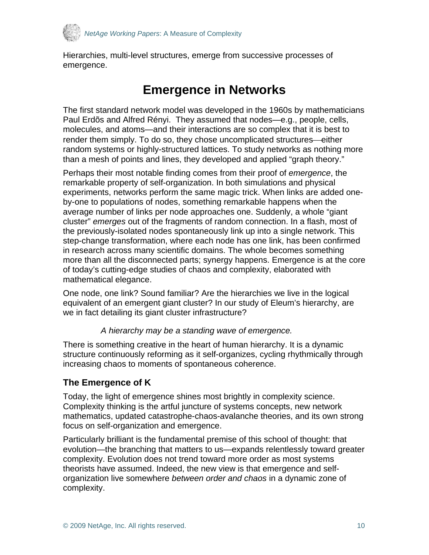<span id="page-9-0"></span>

Hierarchies, multi-level structures, emerge from successive processes of emergence.

# **Emergence in Networks**

The first standard network model was developed in the 1960s by mathematicians Paul Erdõs and Alfred Rényi. They assumed that nodes—e.g., people, cells, molecules, and atoms—and their interactions are so complex that it is best to render them simply. To do so, they chose uncomplicated structures—either random systems or highly-structured lattices. To study networks as nothing more than a mesh of points and lines, they developed and applied "graph theory."

Perhaps their most notable finding comes from their proof of *emergence*, the remarkable property of self-organization. In both simulations and physical experiments, networks perform the same magic trick. When links are added oneby-one to populations of nodes, something remarkable happens when the average number of links per node approaches one. Suddenly, a whole "giant cluster" *emerges* out of the fragments of random connection. In a flash, most of the previously-isolated nodes spontaneously link up into a single network. This step-change transformation, where each node has one link, has been confirmed in research across many scientific domains. The whole becomes something more than all the disconnected parts; synergy happens. Emergence is at the core of today's cutting-edge studies of chaos and complexity, elaborated with mathematical elegance.

One node, one link? Sound familiar? Are the hierarchies we live in the logical equivalent of an emergent giant cluster? In our study of Eleum's hierarchy, are we in fact detailing its giant cluster infrastructure?

#### *A hierarchy may be a standing wave of emergence.*

There is something creative in the heart of human hierarchy. It is a dynamic structure continuously reforming as it self-organizes, cycling rhythmically through increasing chaos to moments of spontaneous coherence.

#### **The Emergence of K**

Today, the light of emergence shines most brightly in complexity science. Complexity thinking is the artful juncture of systems concepts, new network mathematics, updated catastrophe-chaos-avalanche theories, and its own strong focus on self-organization and emergence.

Particularly brilliant is the fundamental premise of this school of thought: that evolution—the branching that matters to us—expands relentlessly toward greater complexity. Evolution does not trend toward more order as most systems theorists have assumed. Indeed, the new view is that emergence and selforganization live somewhere *between order and chaos* in a dynamic zone of complexity.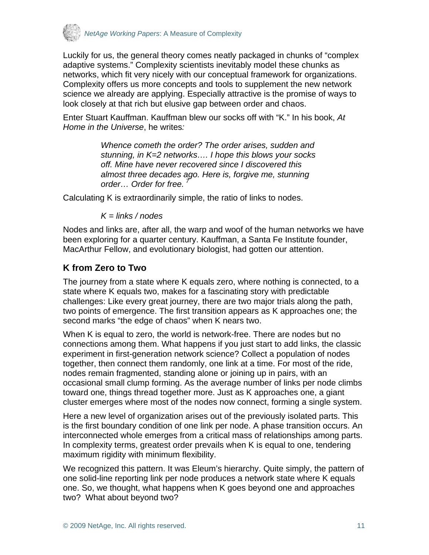<span id="page-10-0"></span>

Luckily for us, the general theory comes neatly packaged in chunks of "complex adaptive systems." Complexity scientists inevitably model these chunks as networks, which fit very nicely with our conceptual framework for organizations. Complexity offers us more concepts and tools to supplement the new network science we already are applying. Especially attractive is the promise of ways to look closely at that rich but elusive gap between order and chaos.

Enter Stuart Kauffman. Kauffman blew our socks off with "K." In his book, *At Home in the Universe*, he writes*:*

> *Whence cometh the order? The order arises, sudden and stunning, in K=2 networks…. I hope this blows your socks off. Mine have never recovered since I discovered this almost three decades ago. Here is, forgive me, stunning order... Order for free.*

Calculating K is extraordinarily simple, the ratio of links to nodes.

*K = links / nodes* 

Nodes and links are, after all, the warp and woof of the human networks we have been exploring for a quarter century. Kauffman, a Santa Fe Institute founder, MacArthur Fellow, and evolutionary biologist, had gotten our attention.

## **K from Zero to Two**

The journey from a state where K equals zero, where nothing is connected, to a state where K equals two, makes for a fascinating story with predictable challenges: Like every great journey, there are two major trials along the path, two points of emergence. The first transition appears as K approaches one; the second marks "the edge of chaos" when K nears two.

When K is equal to zero, the world is network-free. There are nodes but no connections among them. What happens if you just start to add links, the classic experiment in first-generation network science? Collect a population of nodes together, then connect them randomly, one link at a time. For most of the ride, nodes remain fragmented, standing alone or joining up in pairs, with an occasional small clump forming. As the average number of links per node climbs toward one, things thread together more. Just as K approaches one, a giant cluster emerges where most of the nodes now connect, forming a single system.

Here a new level of organization arises out of the previously isolated parts. This is the first boundary condition of one link per node. A phase transition occurs. An interconnected whole emerges from a critical mass of relationships among parts. In complexity terms, greatest order prevails when K is equal to one, tendering maximum rigidity with minimum flexibility.

We recognized this pattern. It was Eleum's hierarchy. Quite simply, the pattern of one solid-line reporting link per node produces a network state where K equals one. So, we thought, what happens when K goes beyond one and approaches two? What about beyond two?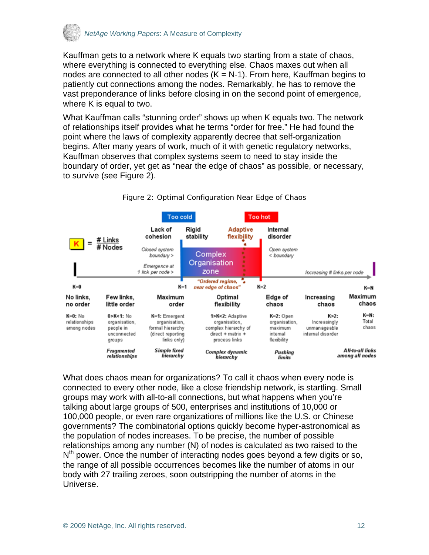

Kauffman gets to a network where K equals two starting from a state of chaos, where everything is connected to everything else. Chaos maxes out when all nodes are connected to all other nodes  $(K = N-1)$ . From here, Kauffman begins to patiently cut connections among the nodes. Remarkably, he has to remove the vast preponderance of links before closing in on the second point of emergence, where K is equal to two.

What Kauffman calls "stunning order" shows up when K equals two. The network of relationships itself provides what he terms "order for free." He had found the point where the laws of complexity apparently decree that self-organization begins. After many years of work, much of it with genetic regulatory networks, Kauffman observes that complex systems seem to need to stay inside the boundary of order, yet get as "near the edge of chaos" as possible, or necessary, to survive (see Figure 2).



Figure 2: Optimal Configuration Near Edge of Chaos

What does chaos mean for organizations? To call it chaos when every node is connected to every other node, like a close friendship network, is startling. Small groups may work with all-to-all connections, but what happens when you're talking about large groups of 500, enterprises and institutions of 10,000 or 100,000 people, or even rare organizations of millions like the U.S. or Chinese governments? The combinatorial options quickly become hyper-astronomical as the population of nodes increases. To be precise, the number of possible relationships among any number (N) of nodes is calculated as two raised to the  $N<sup>th</sup>$  power. Once the number of interacting nodes goes beyond a few digits or so, the range of all possible occurrences becomes like the number of atoms in our body with 27 trailing zeroes, soon outstripping the number of atoms in the Universe.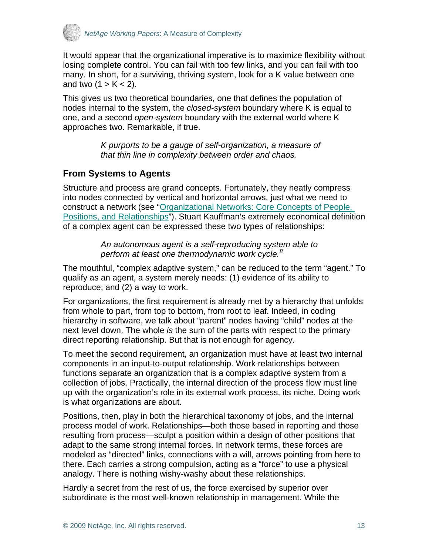<span id="page-12-0"></span>

It would appear that the organizational imperative is to maximize flexibility without losing complete control. You can fail with too few links, and you can fail with too many. In short, for a surviving, thriving system, look for a K value between one and two  $(1 > K < 2)$ .

This gives us two theoretical boundaries, one that defines the population of nodes internal to the system, the *closed-system* boundary where K is equal to one, and a second *open-system* boundary with the external world where K approaches two. Remarkable, if true.

> *K purports to be a gauge of self-organization, a measure of that thin line in complexity between order and chaos.*

#### **From Systems to Agents**

Structure and process are grand concepts. Fortunately, they neatly compress into nodes connected by vertical and horizontal arrows, just what we need to construct a network (see ["Organizational Networks: Core Concepts of People,](http://www.netage.com/pub/whpapers/whpapers/WP_Core%20Concepts.pdf)  [Positions, and Relationships"](http://www.netage.com/pub/whpapers/whpapers/WP_Core%20Concepts.pdf)). Stuart Kauffman's extremely economical definition of a complex agent can be expressed these two types of relationships:

> *An autonomous agent is a self-reproducing system able to perform at least one thermodynamic work cycle.[8](#page-24-2)*

The mouthful, "complex adaptive system," can be reduced to the term "agent." To qualify as an agent, a system merely needs: (1) evidence of its ability to reproduce; and (2) a way to work.

For organizations, the first requirement is already met by a hierarchy that unfolds from whole to part, from top to bottom, from root to leaf. Indeed, in coding hierarchy in software, we talk about "parent" nodes having "child" nodes at the next level down. The whole *is* the sum of the parts with respect to the primary direct reporting relationship. But that is not enough for agency.

To meet the second requirement, an organization must have at least two internal components in an input-to-output relationship. Work relationships between functions separate an organization that is a complex adaptive system from a collection of jobs. Practically, the internal direction of the process flow must line up with the organization's role in its external work process, its niche. Doing work is what organizations are about.

Positions, then, play in both the hierarchical taxonomy of jobs, and the internal process model of work. Relationships—both those based in reporting and those resulting from process—sculpt a position within a design of other positions that adapt to the same strong internal forces. In network terms, these forces are modeled as "directed" links, connections with a will, arrows pointing from here to there. Each carries a strong compulsion, acting as a "force" to use a physical analogy. There is nothing wishy-washy about these relationships.

Hardly a secret from the rest of us, the force exercised by superior over subordinate is the most well-known relationship in management. While the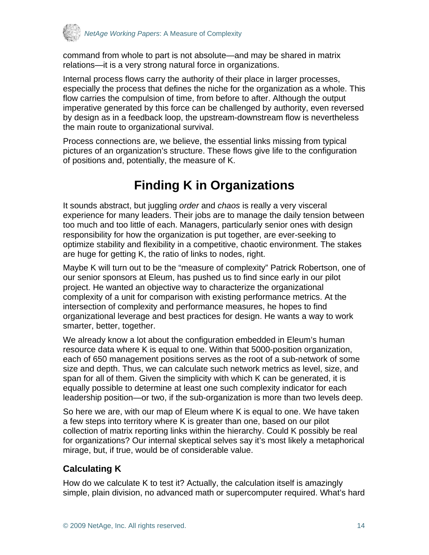<span id="page-13-0"></span>

command from whole to part is not absolute—and may be shared in matrix relations—it is a very strong natural force in organizations.

Internal process flows carry the authority of their place in larger processes, especially the process that defines the niche for the organization as a whole. This flow carries the compulsion of time, from before to after. Although the output imperative generated by this force can be challenged by authority, even reversed by design as in a feedback loop, the upstream-downstream flow is nevertheless the main route to organizational survival.

Process connections are, we believe, the essential links missing from typical pictures of an organization's structure. These flows give life to the configuration of positions and, potentially, the measure of K.

# **Finding K in Organizations**

It sounds abstract, but juggling *order* and *chaos* is really a very visceral experience for many leaders. Their jobs are to manage the daily tension between too much and too little of each. Managers, particularly senior ones with design responsibility for how the organization is put together, are ever-seeking to optimize stability and flexibility in a competitive, chaotic environment. The stakes are huge for getting K, the ratio of links to nodes, right.

Maybe K will turn out to be the "measure of complexity" Patrick Robertson, one of our senior sponsors at Eleum, has pushed us to find since early in our pilot project. He wanted an objective way to characterize the organizational complexity of a unit for comparison with existing performance metrics. At the intersection of complexity and performance measures, he hopes to find organizational leverage and best practices for design. He wants a way to work smarter, better, together.

We already know a lot about the configuration embedded in Eleum's human resource data where K is equal to one. Within that 5000-position organization, each of 650 management positions serves as the root of a sub-network of some size and depth. Thus, we can calculate such network metrics as level, size, and span for all of them. Given the simplicity with which K can be generated, it is equally possible to determine at least one such complexity indicator for each leadership position—or two, if the sub-organization is more than two levels deep.

So here we are, with our map of Eleum where K is equal to one. We have taken a few steps into territory where K is greater than one, based on our pilot collection of matrix reporting links within the hierarchy. Could K possibly be real for organizations? Our internal skeptical selves say it's most likely a metaphorical mirage, but, if true, would be of considerable value.

## **Calculating K**

How do we calculate K to test it? Actually, the calculation itself is amazingly simple, plain division, no advanced math or supercomputer required. What's hard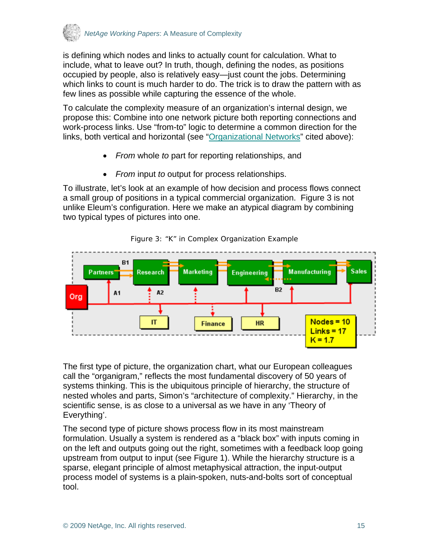

is defining which nodes and links to actually count for calculation. What to include, what to leave out? In truth, though, defining the nodes, as positions occupied by people, also is relatively easy—just count the jobs. Determining which links to count is much harder to do. The trick is to draw the pattern with as few lines as possible while capturing the essence of the whole.

To calculate the complexity measure of an organization's internal design, we propose this: Combine into one network picture both reporting connections and work-process links. Use "from-to" logic to determine a common direction for the links, both vertical and horizontal (see ["Organizational Networks"](http://www.netage.com/pub/whpapers/whpapers/WP_Core%20Concepts.pdf) cited above):

- *From* whole *to* part for reporting relationships, and
- *From* input *to* output for process relationships.

To illustrate, let's look at an example of how decision and process flows connect a small group of positions in a typical commercial organization. Figure 3 is not unlike Eleum's configuration. Here we make an atypical diagram by combining two typical types of pictures into one.





The first type of picture, the organization chart, what our European colleagues call the "organigram," reflects the most fundamental discovery of 50 years of systems thinking. This is the ubiquitous principle of hierarchy, the structure of nested wholes and parts, Simon's "architecture of complexity." Hierarchy, in the scientific sense, is as close to a universal as we have in any 'Theory of Everything'.

The second type of picture shows process flow in its most mainstream formulation. Usually a system is rendered as a "black box" with inputs coming in on the left and outputs going out the right, sometimes with a feedback loop going upstream from output to input (see Figure 1). While the hierarchy structure is a sparse, elegant principle of almost metaphysical attraction, the input-output process model of systems is a plain-spoken, nuts-and-bolts sort of conceptual tool.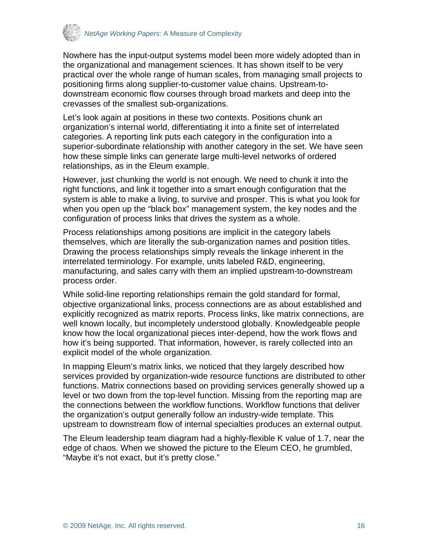

Nowhere has the input-output systems model been more widely adopted than in the organizational and management sciences. It has shown itself to be very practical over the whole range of human scales, from managing small projects to positioning firms along supplier-to-customer value chains. Upstream-todownstream economic flow courses through broad markets and deep into the crevasses of the smallest sub-organizations.

Let's look again at positions in these two contexts. Positions chunk an organization's internal world, differentiating it into a finite set of interrelated categories. A reporting link puts each category in the configuration into a superior-subordinate relationship with another category in the set. We have seen how these simple links can generate large multi-level networks of ordered relationships, as in the Eleum example.

However, just chunking the world is not enough. We need to chunk it into the right functions, and link it together into a smart enough configuration that the system is able to make a living, to survive and prosper. This is what you look for when you open up the "black box" management system, the key nodes and the configuration of process links that drives the system as a whole.

Process relationships among positions are implicit in the category labels themselves, which are literally the sub-organization names and position titles. Drawing the process relationships simply reveals the linkage inherent in the interrelated terminology. For example, units labeled R&D, engineering, manufacturing, and sales carry with them an implied upstream-to-downstream process order.

While solid-line reporting relationships remain the gold standard for formal, objective organizational links, process connections are as about established and explicitly recognized as matrix reports. Process links, like matrix connections, are well known locally, but incompletely understood globally. Knowledgeable people know how the local organizational pieces inter-depend, how the work flows and how it's being supported. That information, however, is rarely collected into an explicit model of the whole organization.

In mapping Eleum's matrix links, we noticed that they largely described how services provided by organization-wide resource functions are distributed to other functions. Matrix connections based on providing services generally showed up a level or two down from the top-level function. Missing from the reporting map are the connections between the workflow functions. Workflow functions that deliver the organization's output generally follow an industry-wide template. This upstream to downstream flow of internal specialties produces an external output.

The Eleum leadership team diagram had a highly-flexible K value of 1.7, near the edge of chaos. When we showed the picture to the Eleum CEO, he grumbled, "Maybe it's not exact, but it's pretty close."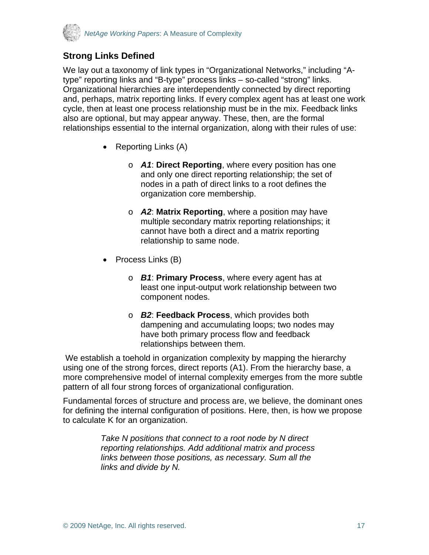<span id="page-16-0"></span>

## **Strong Links Defined**

We lay out a taxonomy of link types in "Organizational Networks," including "Atype" reporting links and "B-type" process links – so-called "strong" links. Organizational hierarchies are interdependently connected by direct reporting and, perhaps, matrix reporting links. If every complex agent has at least one work cycle, then at least one process relationship must be in the mix. Feedback links also are optional, but may appear anyway. These, then, are the formal relationships essential to the internal organization, along with their rules of use:

- Reporting Links (A)
	- o *A1*: **Direct Reporting**, where every position has one and only one direct reporting relationship; the set of nodes in a path of direct links to a root defines the organization core membership.
	- o *A2*: **Matrix Reporting**, where a position may have multiple secondary matrix reporting relationships; it cannot have both a direct and a matrix reporting relationship to same node.
- Process Links (B)
	- o *B1*: **Primary Process**, where every agent has at least one input-output work relationship between two component nodes.
	- o *B2*: **Feedback Process**, which provides both dampening and accumulating loops; two nodes may have both primary process flow and feedback relationships between them.

We establish a toehold in organization complexity by mapping the hierarchy using one of the strong forces, direct reports (A1). From the hierarchy base, a more comprehensive model of internal complexity emerges from the more subtle pattern of all four strong forces of organizational configuration.

Fundamental forces of structure and process are, we believe, the dominant ones for defining the internal configuration of positions. Here, then, is how we propose to calculate K for an organization.

> *Take N positions that connect to a root node by N direct reporting relationships. Add additional matrix and process links between those positions, as necessary. Sum all the links and divide by N.*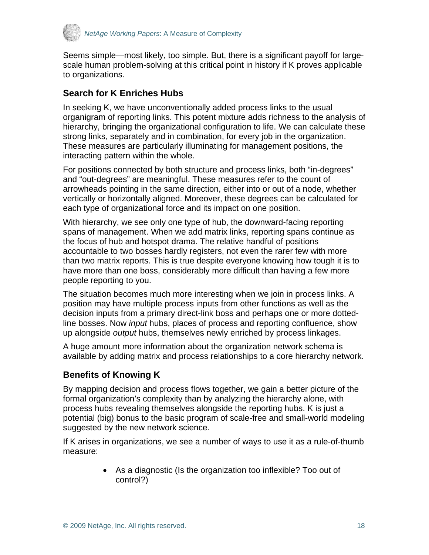<span id="page-17-0"></span>

Seems simple—most likely, too simple. But, there is a significant payoff for largescale human problem-solving at this critical point in history if K proves applicable to organizations.

### **Search for K Enriches Hubs**

In seeking K, we have unconventionally added process links to the usual organigram of reporting links. This potent mixture adds richness to the analysis of hierarchy, bringing the organizational configuration to life. We can calculate these strong links, separately and in combination, for every job in the organization. These measures are particularly illuminating for management positions, the interacting pattern within the whole.

For positions connected by both structure and process links, both "in-degrees" and "out-degrees" are meaningful. These measures refer to the count of arrowheads pointing in the same direction, either into or out of a node, whether vertically or horizontally aligned. Moreover, these degrees can be calculated for each type of organizational force and its impact on one position.

With hierarchy, we see only one type of hub, the downward-facing reporting spans of management. When we add matrix links, reporting spans continue as the focus of hub and hotspot drama. The relative handful of positions accountable to two bosses hardly registers, not even the rarer few with more than two matrix reports. This is true despite everyone knowing how tough it is to have more than one boss, considerably more difficult than having a few more people reporting to you.

The situation becomes much more interesting when we join in process links. A position may have multiple process inputs from other functions as well as the decision inputs from a primary direct-link boss and perhaps one or more dottedline bosses. Now *input* hubs, places of process and reporting confluence, show up alongside *output* hubs, themselves newly enriched by process linkages.

A huge amount more information about the organization network schema is available by adding matrix and process relationships to a core hierarchy network.

## **Benefits of Knowing K**

By mapping decision and process flows together, we gain a better picture of the formal organization's complexity than by analyzing the hierarchy alone, with process hubs revealing themselves alongside the reporting hubs. K is just a potential (big) bonus to the basic program of scale-free and small-world modeling suggested by the new network science.

If K arises in organizations, we see a number of ways to use it as a rule-of-thumb measure:

> • As a diagnostic (Is the organization too inflexible? Too out of control?)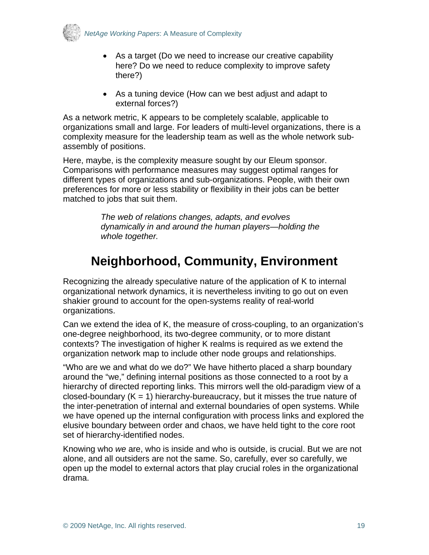<span id="page-18-0"></span>

- As a target (Do we need to increase our creative capability here? Do we need to reduce complexity to improve safety there?)
- As a tuning device (How can we best adjust and adapt to external forces?)

As a network metric, K appears to be completely scalable, applicable to organizations small and large. For leaders of multi-level organizations, there is a complexity measure for the leadership team as well as the whole network subassembly of positions.

Here, maybe, is the complexity measure sought by our Eleum sponsor. Comparisons with performance measures may suggest optimal ranges for different types of organizations and sub-organizations. People, with their own preferences for more or less stability or flexibility in their jobs can be better matched to jobs that suit them.

> *The web of relations changes, adapts, and evolves dynamically in and around the human players—holding the whole together.*

# **Neighborhood, Community, Environment**

Recognizing the already speculative nature of the application of K to internal organizational network dynamics, it is nevertheless inviting to go out on even shakier ground to account for the open-systems reality of real-world organizations.

Can we extend the idea of K, the measure of cross-coupling, to an organization's one-degree neighborhood, its two-degree community, or to more distant contexts? The investigation of higher K realms is required as we extend the organization network map to include other node groups and relationships.

"Who are we and what do we do?" We have hitherto placed a sharp boundary around the "we," defining internal positions as those connected to a root by a hierarchy of directed reporting links. This mirrors well the old-paradigm view of a closed-boundary  $(K = 1)$  hierarchy-bureaucracy, but it misses the true nature of the inter-penetration of internal and external boundaries of open systems. While we have opened up the internal configuration with process links and explored the elusive boundary between order and chaos, we have held tight to the core root set of hierarchy-identified nodes.

Knowing who *we* are, who is inside and who is outside, is crucial. But we are not alone, and all outsiders are not the same. So, carefully, ever so carefully, we open up the model to external actors that play crucial roles in the organizational drama.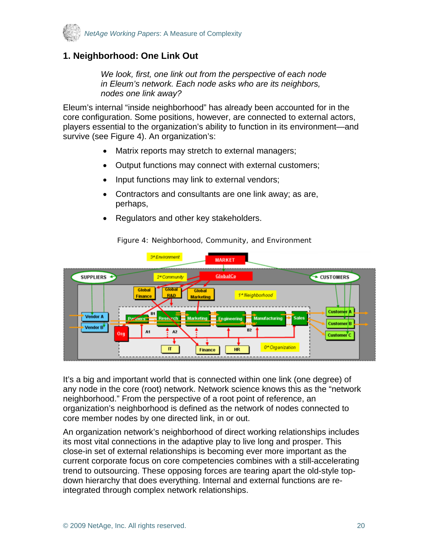<span id="page-19-0"></span>

## **1. Neighborhood: One Link Out**

*We look, first, one link out from the perspective of each node in Eleum's network. Each node asks who are its neighbors, nodes one link away?* 

Eleum's internal "inside neighborhood" has already been accounted for in the core configuration. Some positions, however, are connected to external actors, players essential to the organization's ability to function in its environment—and survive (see Figure 4). An organization's:

- Matrix reports may stretch to external managers;
- Output functions may connect with external customers;
- Input functions may link to external vendors;
- Contractors and consultants are one link away; as are, perhaps,
- Regulators and other key stakeholders.



Figure 4: Neighborhood, Community, and Environment

It's a big and important world that is connected within one link (one degree) of any node in the core (root) network. Network science knows this as the "network neighborhood." From the perspective of a root point of reference, an organization's neighborhood is defined as the network of nodes connected to core member nodes by one directed link, in or out.

An organization network's neighborhood of direct working relationships includes its most vital connections in the adaptive play to live long and prosper. This close-in set of external relationships is becoming ever more important as the current corporate focus on core competencies combines with a still-accelerating trend to outsourcing. These opposing forces are tearing apart the old-style topdown hierarchy that does everything. Internal and external functions are reintegrated through complex network relationships.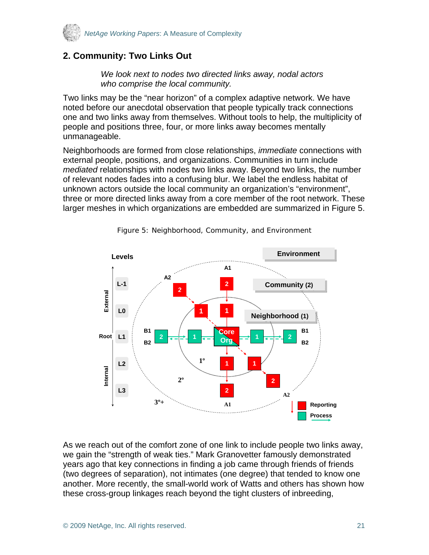<span id="page-20-0"></span>

## **2. Community: Two Links Out**

*We look next to nodes two directed links away, nodal actors who comprise the local community.* 

Two links may be the "near horizon" of a complex adaptive network. We have noted before our anecdotal observation that people typically track connections one and two links away from themselves. Without tools to help, the multiplicity of people and positions three, four, or more links away becomes mentally unmanageable.

Neighborhoods are formed from close relationships, *immediate* connections with external people, positions, and organizations. Communities in turn include *mediated* relationships with nodes two links away. Beyond two links, the number of relevant nodes fades into a confusing blur. We label the endless habitat of unknown actors outside the local community an organization's "environment", three or more directed links away from a core member of the root network. These larger meshes in which organizations are embedded are summarized in Figure 5.



Figure 5: Neighborhood, Community, and Environment

As we reach out of the comfort zone of one link to include people two links away, we gain the "strength of weak ties." Mark Granovetter famously demonstrated years ago that key connections in finding a job came through friends of friends (two degrees of separation), not intimates (one degree) that tended to know one another. More recently, the small-world work of Watts and others has shown how these cross-group linkages reach beyond the tight clusters of inbreeding,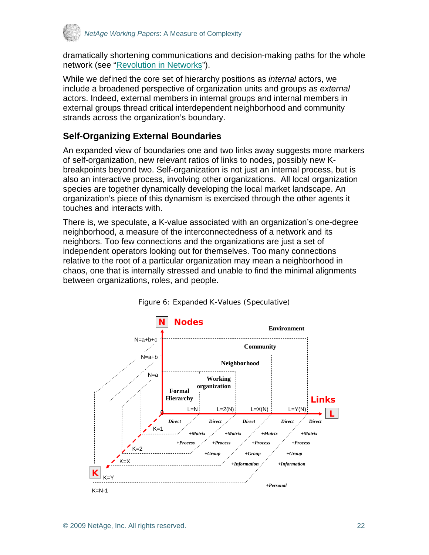<span id="page-21-0"></span>

dramatically shortening communications and decision-making paths for the whole network (see ["Revolution in Networks"](http://www.netage.com/pub/whpapers/whpapers/WP_Network%20Science.pdf)).

While we defined the core set of hierarchy positions as *internal* actors, we include a broadened perspective of organization units and groups as *external* actors. Indeed, external members in internal groups and internal members in external groups thread critical interdependent neighborhood and community strands across the organization's boundary.

## **Self-Organizing External Boundaries**

An expanded view of boundaries one and two links away suggests more markers of self-organization, new relevant ratios of links to nodes, possibly new Kbreakpoints beyond two. Self-organization is not just an internal process, but is also an interactive process, involving other organizations. All local organization species are together dynamically developing the local market landscape. An organization's piece of this dynamism is exercised through the other agents it touches and interacts with.

There is, we speculate, a K-value associated with an organization's one-degree neighborhood, a measure of the interconnectedness of a network and its neighbors. Too few connections and the organizations are just a set of independent operators looking out for themselves. Too many connections relative to the root of a particular organization may mean a neighborhood in chaos, one that is internally stressed and unable to find the minimal alignments between organizations, roles, and people.



Figure 6: Expanded K-Values (Speculative)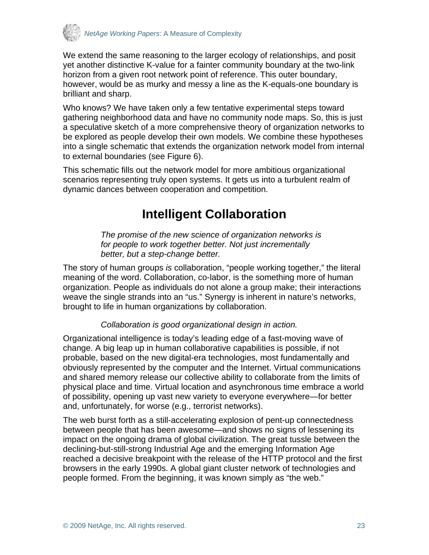<span id="page-22-0"></span>

We extend the same reasoning to the larger ecology of relationships, and posit yet another distinctive K-value for a fainter community boundary at the two-link horizon from a given root network point of reference. This outer boundary, however, would be as murky and messy a line as the K-equals-one boundary is brilliant and sharp.

Who knows? We have taken only a few tentative experimental steps toward gathering neighborhood data and have no community node maps. So, this is just a speculative sketch of a more comprehensive theory of organization networks to be explored as people develop their own models. We combine these hypotheses into a single schematic that extends the organization network model from internal to external boundaries (see Figure 6).

This schematic fills out the network model for more ambitious organizational scenarios representing truly open systems. It gets us into a turbulent realm of dynamic dances between cooperation and competition.

# **Intelligent Collaboration**

*The promise of the new science of organization networks is for people to work together better. Not just incrementally better, but a step-change better.* 

The story of human groups *is* collaboration, "people working together," the literal meaning of the word. Collaboration, co-labor, is the something more of human organization. People as individuals do not alone a group make; their interactions weave the single strands into an "us." Synergy is inherent in nature's networks, brought to life in human organizations by collaboration.

#### *Collaboration is good organizational design in action.*

Organizational intelligence is today's leading edge of a fast-moving wave of change. A big leap up in human collaborative capabilities is possible, if not probable, based on the new digital-era technologies, most fundamentally and obviously represented by the computer and the Internet. Virtual communications and shared memory release our collective ability to collaborate from the limits of physical place and time. Virtual location and asynchronous time embrace a world of possibility, opening up vast new variety to everyone everywhere—for better and, unfortunately, for worse (e.g., terrorist networks).

The web burst forth as a still-accelerating explosion of pent-up connectedness between people that has been awesome—and shows no signs of lessening its impact on the ongoing drama of global civilization. The great tussle between the declining-but-still-strong Industrial Age and the emerging Information Age reached a decisive breakpoint with the release of the HTTP protocol and the first browsers in the early 1990s. A global giant cluster network of technologies and people formed. From the beginning, it was known simply as "the web."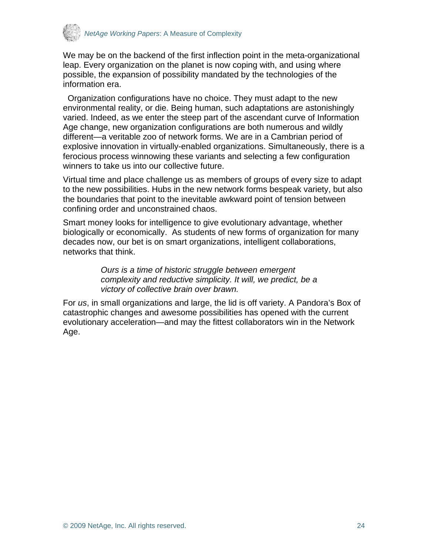

We may be on the backend of the first inflection point in the meta-organizational leap. Every organization on the planet is now coping with, and using where possible, the expansion of possibility mandated by the technologies of the information era.

 Organization configurations have no choice. They must adapt to the new environmental reality, or die. Being human, such adaptations are astonishingly varied. Indeed, as we enter the steep part of the ascendant curve of Information Age change, new organization configurations are both numerous and wildly different—a veritable zoo of network forms. We are in a Cambrian period of explosive innovation in virtually-enabled organizations. Simultaneously, there is a ferocious process winnowing these variants and selecting a few configuration winners to take us into our collective future.

Virtual time and place challenge us as members of groups of every size to adapt to the new possibilities. Hubs in the new network forms bespeak variety, but also the boundaries that point to the inevitable awkward point of tension between confining order and unconstrained chaos.

Smart money looks for intelligence to give evolutionary advantage, whether biologically or economically. As students of new forms of organization for many decades now, our bet is on smart organizations, intelligent collaborations, networks that think.

> *Ours is a time of historic struggle between emergent complexity and reductive simplicity. It will, we predict, be a victory of collective brain over brawn.*

For *us*, in small organizations and large, the lid is off variety. A Pandora's Box of catastrophic changes and awesome possibilities has opened with the current evolutionary acceleration—and may the fittest collaborators win in the Network Age.